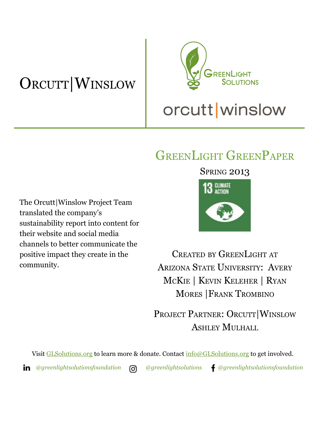# ORCUTT|WINSLOW



## GREENLIGHT GREENPAPER

The Orcutt|Winslow Project Team translated the company's sustainability report into content for their website and social media channels to better communicate the positive impact they create in the community.

### **SPRING 2013**



CREATED BY GREENLIGHT AT ARIZONA STATE UNIVERSITY: AVERY MCKIE | KEVIN KELEHER | RYAN MORES |FRANK TROMBINO

PROJECT PARTNER: ORCUTT|WINSLOW ASHLEY MULHALL

Visit [GLSolutions.org](https://www.glsolutions.org/) to learn more & donate. Contact  $\frac{info@GLSolutions.org}{info@GLSolutions.org}$  to get involved.

*[@greenlightsolutionsfoundation](https://www.linkedin.com/company/10571635) [@greenlightsolutions](https://www.instagram.com/greenlightsolutions/) [@greenlightsolutionsfoundation](https://www.facebook.com/GreenLightSolutionsFoundation/)*